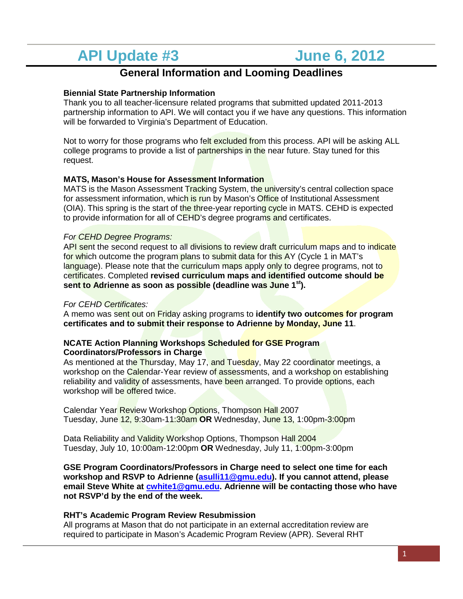# **API Update #3 June 6, 2012**

# **General Information and Looming Deadlines**

# **Biennial State Partnership Information**

Thank you to all teacher-licensure related programs that submitted updated 2011-2013 partnership information to API. We will contact you if we have any questions. This information will be forwarded to Virginia's Department of Education.

Not to worry for those programs who felt excluded from this process. API will be asking ALL college programs to provide a list of partnerships in the near future. Stay tuned for this request.

## **MATS, Mason's House for Assessment Information**

MATS is the Mason Assessment Tracking System, the university's central collection space for assessment information, which is run by Mason's Office of Institutional Assessment (OIA). This spring is the start of the three-year reporting cycle in MATS. CEHD is expected to provide information for all of CEHD's degree programs and certificates.

## *For CEHD Degree Programs:*

API sent the second request to all divisions to review draft curriculum maps and to indicate for which outcome the program plans to submit data for this AY (Cycle 1 in MAT's language). Please note that the curriculum maps apply only to degree programs, not to certificates. Completed **revised curriculum maps and identified outcome should be sent to Adrienne as soon as possible (deadline was June 1st).** 

#### *For CEHD Certificates:*

A memo was sent out on Friday asking programs to **identify two outcomes for program certificates and to submit their response to Adrienne by Monday, June 11**.

#### **NCATE Action Planning Workshops Scheduled for GSE Program Coordinators/Professors in Charge**

As mentioned at the Thursday, May 17, and Tuesday, May 22 coordinator meetings, a workshop on the Calendar-Year review of assessments, and a workshop on establishing reliability and validity of assessments, have been arranged. To provide options, each workshop will be offered twice.

Calendar Year Review Workshop Options, Thompson Hall 2007 Tuesday, June 12, 9:30am-11:30am **OR** Wednesday, June 13, 1:00pm-3:00pm

Data Reliability and Validity Workshop Options, Thompson Hall 2004 Tuesday, July 10, 10:00am-12:00pm **OR** Wednesday, July 11, 1:00pm-3:00pm

**GSE Program Coordinators/Professors in Charge need to select one time for each workshop and RSVP to Adrienne [\(asulli11@gmu.edu\)](mailto:asulli11@gmu.edu). If you cannot attend, please email Steve White at [cwhite1@gmu.edu.](mailto:cwhite1@gmu.edu) Adrienne will be contacting those who have not RSVP'd by the end of the week.**

#### **RHT's Academic Program Review Resubmission**

All programs at Mason that do not participate in an external accreditation review are required to participate in Mason's Academic Program Review (APR). Several RHT